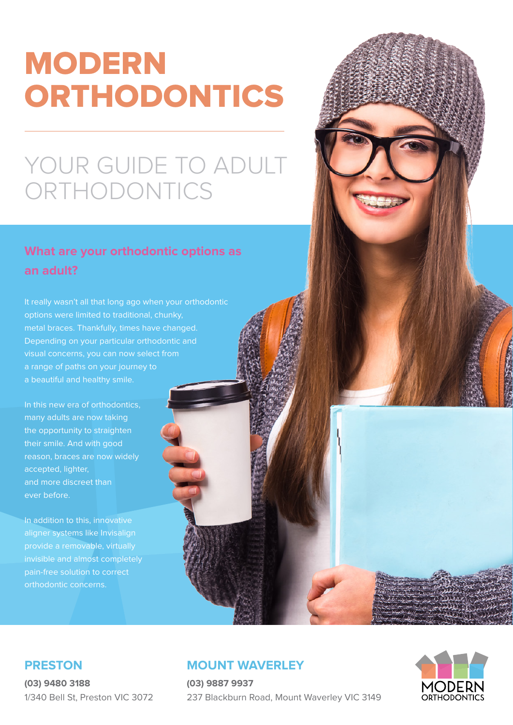# MODERN ORTHODONTICS

## YOUR GUIDE TO ADULT ORTHODONTICS

## **What are your orthodontic options as an adult?**

It really wasn't all that long ago when your orthodontic options were limited to traditional, chunky, metal braces. Thankfully, times have changed. Depending on your particular orthodontic and a range of paths on your journey to

In this new era of orthodontics, many adults are now taking the opportunity to straighten their smile. And with good reason, braces are now widely accepted, lighter, and more discreet than ever before.

In addition to this, innovative aligner systems like Invisalign provide a removable, virtually invisible and almost completely pain-free solution to correct orthodontic concerns.

#### **MOUNT WAVERLEY**

**(03) 9887 9937** 237 Blackburn Road, Mount Waverley VIC 3149



#### **PRESTON**

**(03) 9480 3188** 1/340 Bell St, Preston VIC 3072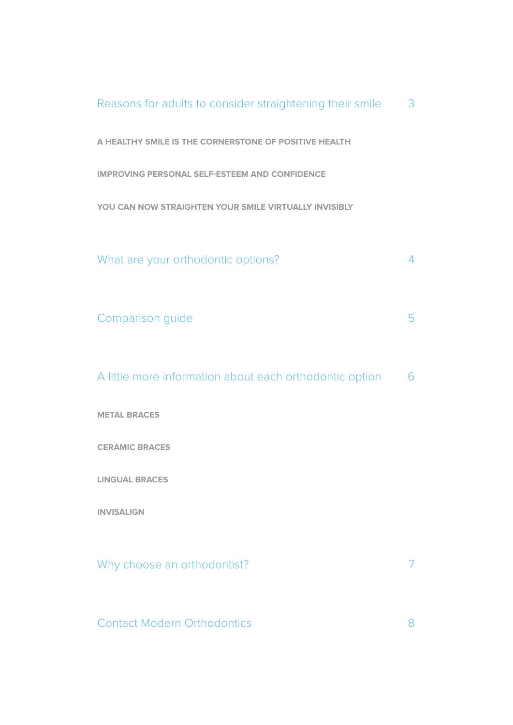| Reasons for adults to consider straightening their smile | 3              |
|----------------------------------------------------------|----------------|
| A HEALTHY SMILE IS THE CORNERSTONE OF POSITIVE HEALTH    |                |
| <b>IMPROVING PERSONAL SELF-ESTEEM AND CONFIDENCE</b>     |                |
| YOU CAN NOW STRAIGHTEN YOUR SMILE VIRTUALLY INVISIBLY    |                |
| What are your orthodontic options?                       | $\overline{4}$ |
| Comparison guide                                         | 5              |
| A little more information about each orthodontic option  | 6              |
| <b>METAL BRACES</b>                                      |                |
| <b>CERAMIC BRACES</b>                                    |                |
| <b>LINGUAL BRACES</b>                                    |                |
| <b>INVISALIGN</b>                                        |                |
| Why choose an orthodontist?                              |                |
| <b>Contact Modern Orthodontics</b>                       | 8              |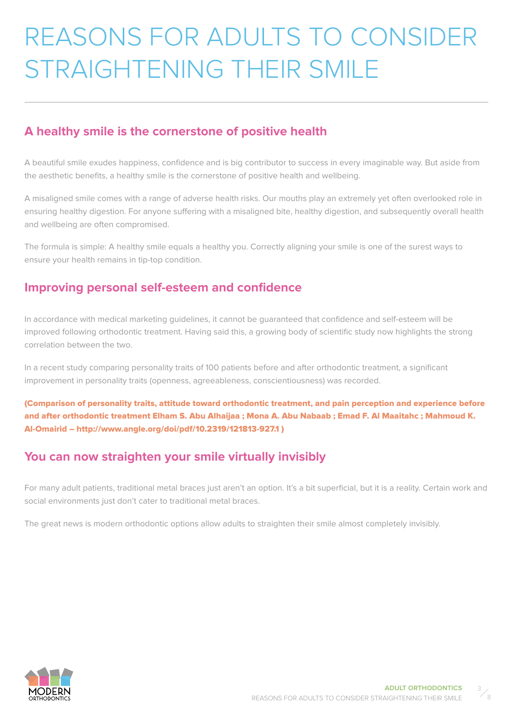# <span id="page-2-0"></span>REASONS FOR ADULTS TO CONSIDER STRAIGHTENING THEIR SMILE

#### **A healthy smile is the cornerstone of positive health**

A beautiful smile exudes happiness, confidence and is big contributor to success in every imaginable way. But aside from the aesthetic benefits, a healthy smile is the cornerstone of positive health and wellbeing.

A misaligned smile comes with a range of adverse health risks. Our mouths play an extremely yet often overlooked role in ensuring healthy digestion. For anyone suffering with a misaligned bite, healthy digestion, and subsequently overall health and wellbeing are often compromised.

The formula is simple: A healthy smile equals a healthy you. Correctly aligning your smile is one of the surest ways to ensure your health remains in tip-top condition.

#### **Improving personal self-esteem and confidence**

In accordance with medical marketing guidelines, it cannot be guaranteed that confidence and self-esteem will be improved following orthodontic treatment. Having said this, a growing body of scientific study now highlights the strong correlation between the two.

In a recent study comparing personality traits of 100 patients before and after orthodontic treatment, a significant improvement in personality traits (openness, agreeableness, conscientiousness) was recorded.

(Comparison of personality traits, attitude toward orthodontic treatment, and pain perception and experience before and after orthodontic treatment Elham S. Abu Alhaijaa ; Mona A. Abu Nabaab ; Emad F. Al Maaitahc ; Mahmoud K. Al-Omairid – http://www.angle.org/doi/pdf/10.2319/121813-927.1 )

#### **You can now straighten your smile virtually invisibly**

For many adult patients, traditional metal braces just aren't an option. It's a bit superficial, but it is a reality. Certain work and social environments just don't cater to traditional metal braces.

The great news is modern orthodontic options allow adults to straighten their smile almost completely invisibly.



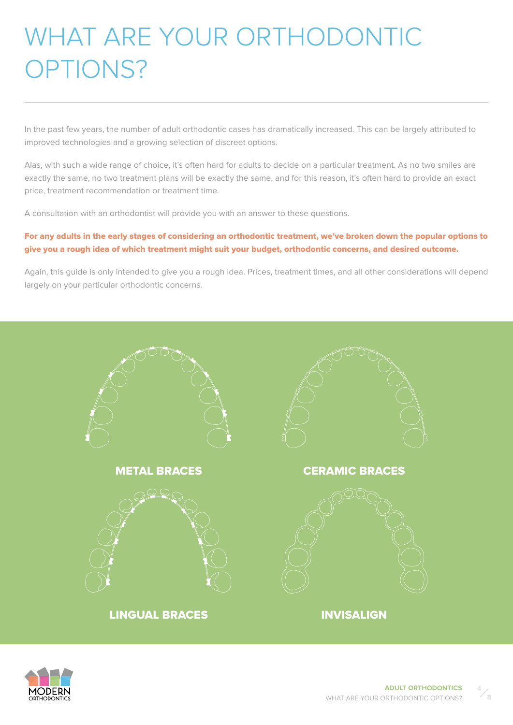## <span id="page-3-0"></span>WHAT ARE YOUR ORTHODONTIC OPTIONS?

In the past few years, the number of adult orthodontic cases has dramatically increased. This can be largely attributed to improved technologies and a growing selection of discreet options.

Alas, with such a wide range of choice, it's often hard for adults to decide on a particular treatment. As no two smiles are exactly the same, no two treatment plans will be exactly the same, and for this reason, it's often hard to provide an exact price, treatment recommendation or treatment time.

A consultation with an orthodontist will provide you with an answer to these questions.

#### For any adults in the early stages of considering an orthodontic treatment, we've broken down the popular options to give you a rough idea of which treatment might suit your budget, orthodontic concerns, and desired outcome.

Again, this guide is only intended to give you a rough idea. Prices, treatment times, and all other considerations will depend largely on your particular orthodontic concerns.





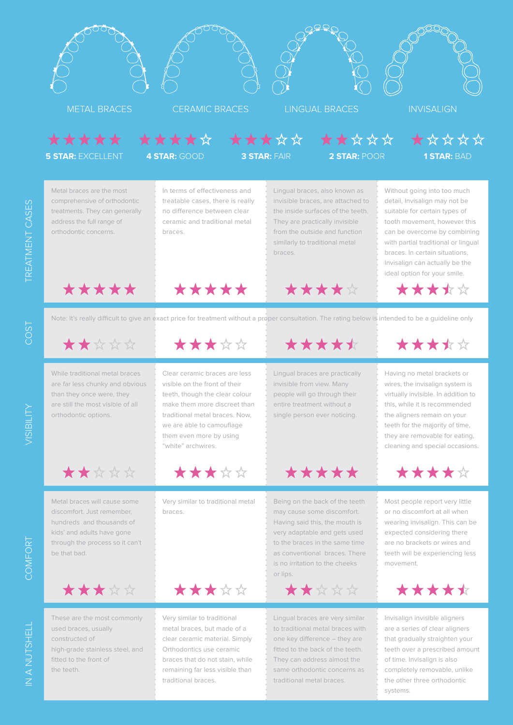

traditional metal braces.

the other three orthodontic

systems.

traditional braces.

REATMENT CASES TREATMENT CASES

COST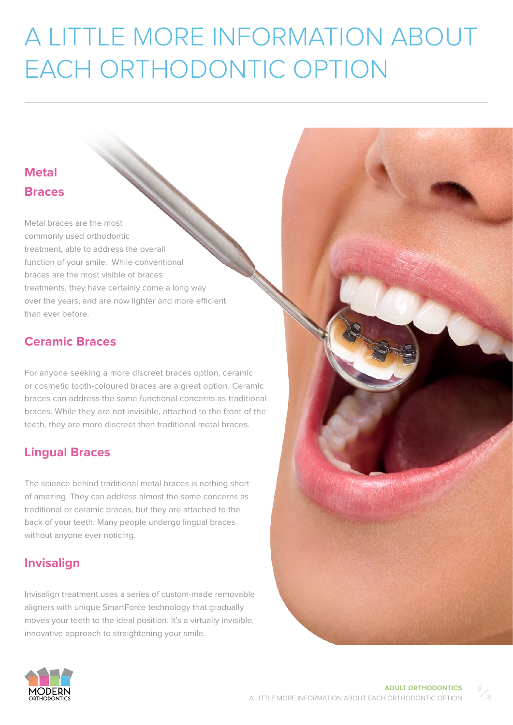# <span id="page-5-0"></span>A LITTLE MORE INFORMATION ABOUT EACH ORTHODONTIC OPTION

#### **Metal Braces**

Metal braces are the most commonly used orthodontic treatment, able to address the overall function of your smile. While conventional braces are the most visible of braces treatments, they have certainly come a long way over the years, and are now lighter and more efficient than ever before.

#### **Ceramic Braces**

For anyone seeking a more discreet braces option, ceramic or cosmetic tooth-coloured braces are a great option. Ceramic braces can address the same functional concerns as traditional braces. While they are not invisible, attached to the front of the teeth, they are more discreet than traditional metal braces.

#### **Lingual Braces**

The science behind traditional metal braces is nothing short of amazing. They can address almost the same concerns as traditional or ceramic braces, but they are attached to the back of your teeth. Many people undergo lingual braces without anyone ever noticing.

#### **Invisalign**

Invisalign treatment uses a series of custom-made removable aligners with unique SmartForce technology that gradually moves your teeth to the ideal position. It's a virtually invisible, innovative approach to straightening your smile.





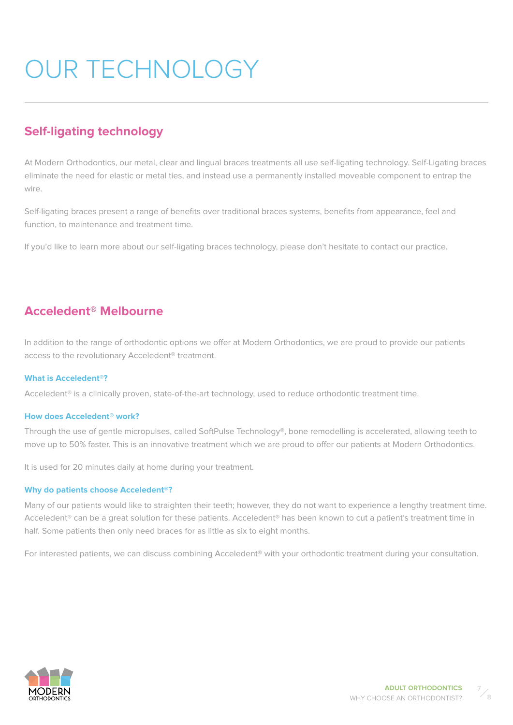# <span id="page-6-0"></span>OUR TECHNOLOGY

#### **Self-ligating technology**

At Modern Orthodontics, our metal, clear and lingual braces treatments all use self-ligating technology. Self-Ligating braces eliminate the need for elastic or metal ties, and instead use a permanently installed moveable component to entrap the wire.

Self-ligating braces present a range of benefits over traditional braces systems, benefits from appearance, feel and function, to maintenance and treatment time.

If you'd like to learn more about our self-ligating braces technology, please don't hesitate to contact our practice.

#### **Acceledent® Melbourne**

In addition to the range of orthodontic options we offer at Modern Orthodontics, we are proud to provide our patients access to the revolutionary Acceledent® treatment.

#### **What is Acceledent®?**

Acceledent® is a clinically proven, state-of-the-art technology, used to reduce orthodontic treatment time.

#### **How does Acceledent® work?**

Through the use of gentle micropulses, called SoftPulse Technology®, bone remodelling is accelerated, allowing teeth to move up to 50% faster. This is an innovative treatment which we are proud to offer our patients at Modern Orthodontics.

It is used for 20 minutes daily at home during your treatment.

#### **Why do patients choose Acceledent®?**

Many of our patients would like to straighten their teeth; however, they do not want to experience a lengthy treatment time. Acceledent® can be a great solution for these patients. Acceledent® has been known to cut a patient's treatment time in half. Some patients then only need braces for as little as six to eight months.

For interested patients, we can discuss combining Acceledent® with your orthodontic treatment during your consultation.